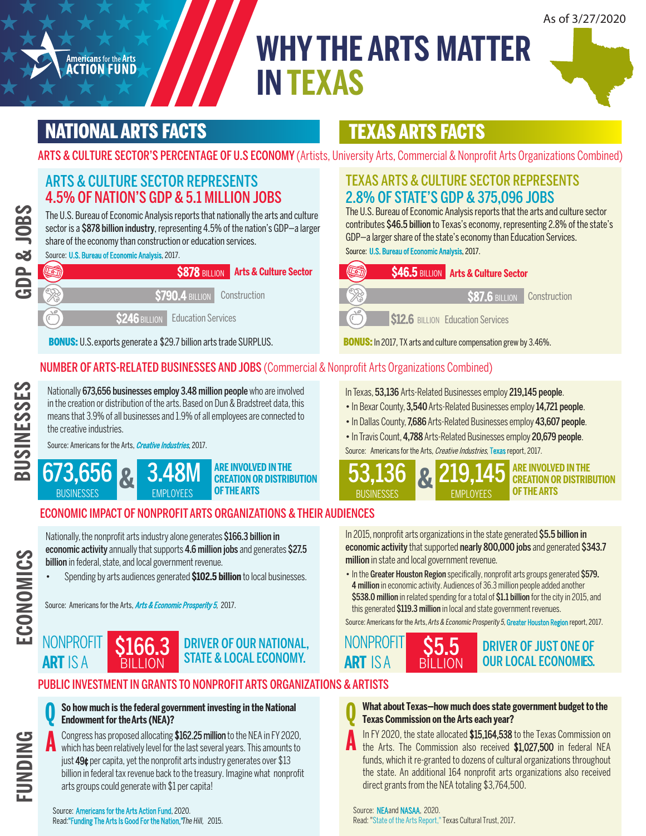# **WHY THE ARTS MATTER IN TEXAS**



# NATIONAL ARTS FACTS

**Americans for the Arts**<br>**ACTION FUND** 

# TEXAS ARTS FACTS

ARTS & CULTURE SECTOR'S PERCENTAGE OF U.S ECONOMY (Artists, University Arts, Commercial & Nonprofit Arts Organizations Combined)

### ARTS & CULTURE SECTOR REPRESENTS 4.5% OF NATION'S GDP & 5.1 MILLION JOBS

The U.S. Bureau of Economic Analysis reports that nationally the arts and culture sector is a **\$878 billion industry**, representing 4.5% of the nation's GDP-a larger share of the economy than construction or education services.

Source: [U.S. Bureau of Economic Analysis](https://www.arts.gov/infographic-arts-and-the-economy), 2017.



BONUS: U.S. exports generate a \$29.7 billion arts trade SURPLUS. BONUS: In 2017, TX arts and culture compensation grew by 3.46%.

#### NUMBER OF ARTS-RELATED BUSINESSES AND JOBS (Commercial & Nonprofit Arts Organizations Combined)

Nationally 673,656 businesses employ 3.48 million people who are involved in the creation or distribution of the arts. Based on Dun & Bradstreet data, this means that 3.9% of all businesses and 1.9% of all employees are connected to the creative industries.

[Source: Americans for the Arts,](https://www.americansforthearts.org/by-program/reports-and-data/research-studies-publications/creative-industries) Creative Industries, 2017.



### TEXAS ARTS & CULTURE SECTOR REPRESENTS 2.8% OF STATE'S GDP & 375,096 JOBS

The U.S. Bureau of Economic Analysis reports that the arts and culture sector contributes \$46.5 billion to Texas's economy, representing 2.8% of the state's GDP—a larger share of the state's economy than Education Services.

Source: [U.S. Bureau of Economic Analysis](https://nasaa-arts.org/nasaa_research/creative-economy-state-profiles/), 2017.

| <b>S46.5 BILLION Arts &amp; Culture Sector</b> |  |
|------------------------------------------------|--|
|                                                |  |
| <b>S87.6 BILLION</b> Construction              |  |
| <b>S12.6</b> BILLION Education Services        |  |

In Texas, 53,136 Arts-Related Businesses employ 219,145 people.

- In Bexar County, 3,540 Arts-Related Businesses employ 14,721 people.
- In Dallas County, 7,686 Arts-Related Businesses employ 43,607 people.
- In Travis Count, 4,788 Arts-Related Businesses employ 20,679 people.
- [Source: Americans for the Arts,](https://www.americansforthearts.org/by-program/reports-and-data/research-studies-publications/creative-industries/view-the-reports/reports-by-state) Creative Industries, Texas report, 2017.



### ECONOMIC IMPACT OF NONPROFIT ARTS ORGANIZATIONS & THEIR AUDIENCES

Nationally, the nonprofit arts industry alone generates \$166.3 billion in economic activity annually that supports 4.6 million jobs and generates \$27.5 billion in federal, state, and local government revenue.

• Spending by arts audiences generated **\$102.5 billion** to local businesses.

[Source: Americans for the Arts,](https://www.americansforthearts.org/by-program/reports-and-data/research-studies-publications/arts-economic-prosperity-5) Arts & Economic Prosperity 5, 2017.

DRIVER OF OUR NATIONAL, STATE & LOCAL ECONOMY. \$166.3 BILLION

### PUBLIC INVESTMENT IN GRANTS TO NONPROFIT ARTS ORGANIZATIONS & ARTISTS



**ECONOMICS**

ECONOMICS

**NONPROFIT** 

**ART** IS A

**So howmuch is the federal government investing in the National Endowment for theArts (NEA)? Q**

Congress has proposed allocating \$162.25 million to the NEA in FY 2020, which has been relatively level for the last several years. This amounts to just 49¢ per capita, yet the nonprofit arts industry generates over \$13 billion in federal tax revenue back to the treasury. Imagine what nonprofit arts groups could generate with \$1 per capita! **A**

Source: Americans for the Arts Action Fund, 2020. [Read:"Funding The Arts Is Good For the Nation,"](https://thehill.com/opinion/op-ed/236618-funding-the-arts-is-good-for-the-nation) The Hill, 2015. In 2015, nonprofit arts organizations in the state generated \$5.5 billion in economic activity that supported nearly 800,000 jobs and generated \$343.7 million in state and local government revenue.

• In the Greater Houston Region specifically, nonprofit arts groups generated \$579. 4 million in economic activity.Audiences of 36.3 million people added another \$538.0 million in related spending for a total of \$1.1 billion for the city in 2015, and this generated \$119.3 million in local and state government revenues.

Source: Americans for the Arts, Arts & Economic Prosperity 5, Greater [Houston](https://www.americansforthearts.org/sites/default/files/pdf/2017/by_program/reports_and_data/aep5/map/TX_GreaterHoustonRegion_AEP5_OnePageSummary.pdf) Region report, 2017.



#### **What about Texas—how much does state government budget to the Texas Commission on the Arts each year? Q**

In FY 2020, the state allocated \$15,164,538 to the Texas Commission on the Arts. The Commission also received \$1,027,500 in federal NEA funds, which it re-granted to dozens of cultural organizations throughout the state. An additional 164 nonprofit arts organizations also received direct grants from the NEA totaling \$3,764,500.

#### Source: [NEA](https://apps.nea.gov/grantsearch/)and [NASAA,](https://nasaa-arts.org/nasaa_research/fy2020-state-arts-agency-revenues-report/) 2020.

**A**

R[ead: "State of the Arts Report,"](http://tigi4ajz2fc1ath2kv9jxg05-wpengine.netdna-ssl.com/wp-content/uploads/2017/02/2017-State-of-the-Arts-Report.pdf) Texas Cultural Trust, 2017.